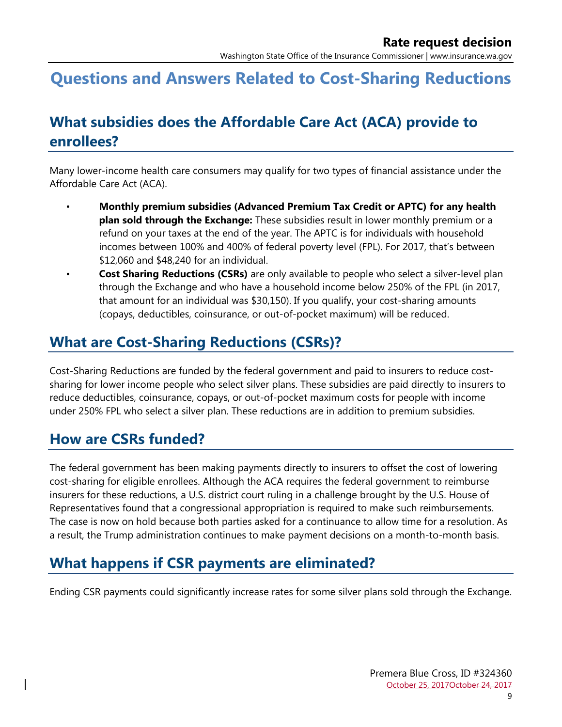# **Questions and Answers Related to Cost-Sharing Reductions**

# **What subsidies does the Affordable Care Act (ACA) provide to enrollees?**

Many lower-income health care consumers may qualify for two types of financial assistance under the Affordable Care Act (ACA).

- **Monthly premium subsidies (Advanced Premium Tax Credit or APTC) for any health plan sold through the Exchange:** These subsidies result in lower monthly premium or a refund on your taxes at the end of the year. The APTC is for individuals with household incomes between 100% and 400% of federal poverty level (FPL). For 2017, that's between \$12,060 and \$48,240 for an individual.
	- **Cost Sharing Reductions (CSRs)** are only available to people who select a silver-level plan through the Exchange and who have a household income below 250% of the FPL (in 2017, that amount for an individual was \$30,150). If you qualify, your cost-sharing amounts (copays, deductibles, coinsurance, or out-of-pocket maximum) will be reduced.

#### **What are Cost-Sharing Reductions (CSRs)?**

Cost-Sharing Reductions are funded by the federal government and paid to insurers to reduce costsharing for lower income people who select silver plans. These subsidies are paid directly to insurers to reduce deductibles, coinsurance, copays, or out-of-pocket maximum costs for people with income under 250% FPL who select a silver plan. These reductions are in addition to premium subsidies.

#### **How are CSRs funded?**

The federal government has been making payments directly to insurers to offset the cost of lowering cost-sharing for eligible enrollees. Although the ACA requires the federal government to reimburse insurers for these reductions, a U.S. district court ruling in a challenge brought by the U.S. House of Representatives found that a congressional appropriation is required to make such reimbursements. The case is now on hold because both parties asked for a continuance to allow time for a resolution. As a result, the Trump administration continues to make payment decisions on a month-to-month basis.

## **What happens if CSR payments are eliminated?**

Ending CSR payments could significantly increase rates for some silver plans sold through the Exchange.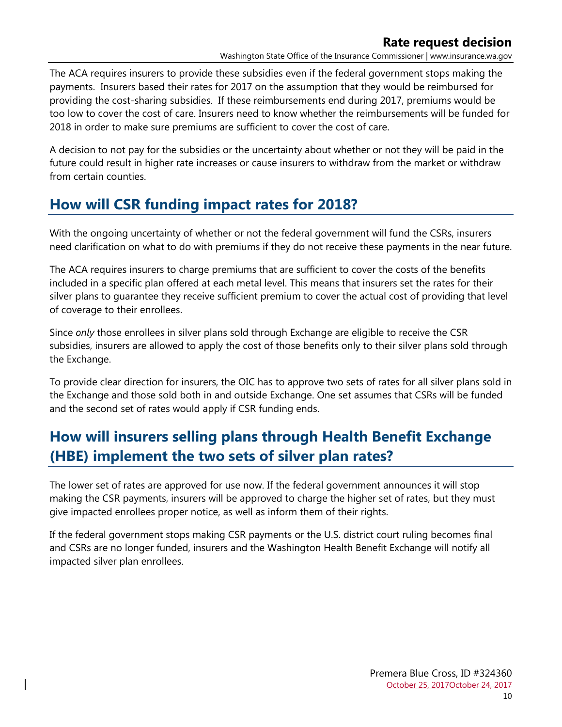Washington State Office of the Insurance Commissioner | www.insurance.wa.gov

The ACA requires insurers to provide these subsidies even if the federal government stops making the payments. Insurers based their rates for 2017 on the assumption that they would be reimbursed for providing the cost-sharing subsidies. If these reimbursements end during 2017, premiums would be too low to cover the cost of care. Insurers need to know whether the reimbursements will be funded for 2018 in order to make sure premiums are sufficient to cover the cost of care.

A decision to not pay for the subsidies or the uncertainty about whether or not they will be paid in the future could result in higher rate increases or cause insurers to withdraw from the market or withdraw from certain counties.

### **How will CSR funding impact rates for 2018?**

With the ongoing uncertainty of whether or not the federal government will fund the CSRs, insurers need clarification on what to do with premiums if they do not receive these payments in the near future.

The ACA requires insurers to charge premiums that are sufficient to cover the costs of the benefits included in a specific plan offered at each metal level. This means that insurers set the rates for their silver plans to guarantee they receive sufficient premium to cover the actual cost of providing that level of coverage to their enrollees.

Since *only* those enrollees in silver plans sold through Exchange are eligible to receive the CSR subsidies, insurers are allowed to apply the cost of those benefits only to their silver plans sold through the Exchange.

To provide clear direction for insurers, the OIC has to approve two sets of rates for all silver plans sold in the Exchange and those sold both in and outside Exchange. One set assumes that CSRs will be funded and the second set of rates would apply if CSR funding ends.

## **How will insurers selling plans through Health Benefit Exchange (HBE) implement the two sets of silver plan rates?**

The lower set of rates are approved for use now. If the federal government announces it will stop making the CSR payments, insurers will be approved to charge the higher set of rates, but they must give impacted enrollees proper notice, as well as inform them of their rights.

If the federal government stops making CSR payments or the U.S. district court ruling becomes final and CSRs are no longer funded, insurers and the Washington Health Benefit Exchange will notify all impacted silver plan enrollees.